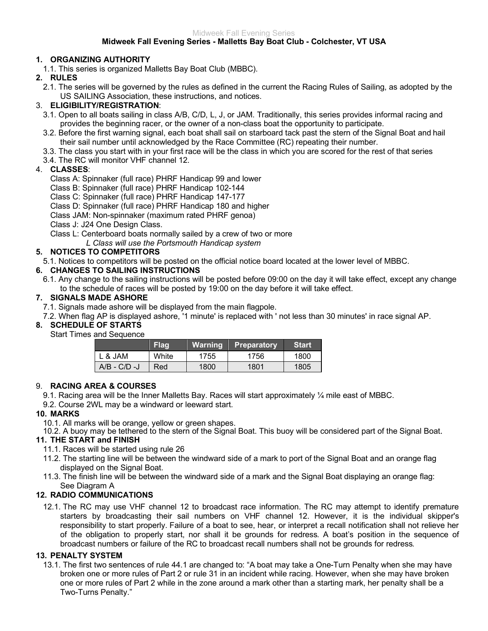# Midweek Fall Evening Series

#### **Midweek Fall Evening Series - Malletts Bay Boat Club - Colchester, VT USA**

# **1. ORGANIZING AUTHORITY**

1.1. This series is organized Malletts Bay Boat Club (MBBC).

# **2. RULES**

2.1. The series will be governed by the rules as defined in the current the Racing Rules of Sailing, as adopted by the US SAILING Association, these instructions, and notices.

## 3. **ELIGIBILITY/REGISTRATION**:

- 3.1. Open to all boats sailing in class A/B, C/D, L, J, or JAM. Traditionally, this series provides informal racing and provides the beginning racer, or the owner of a non-class boat the opportunity to participate.
- 3.2. Before the first warning signal, each boat shall sail on starboard tack past the stern of the Signal Boat and hail their sail number until acknowledged by the Race Committee (RC) repeating their number.
- 3.3. The class you start with in your first race will be the class in which you are scored for the rest of that series
- 3.4. The RC will monitor VHF channel 12.

## 4. **CLASSES**:

Class A: Spinnaker (full race) PHRF Handicap 99 and lower

- Class B: Spinnaker (full race) PHRF Handicap 102-144
- Class C: Spinnaker (full race) PHRF Handicap 147-177

Class D: Spinnaker (full race) PHRF Handicap 180 and higher

Class JAM: Non-spinnaker (maximum rated PHRF genoa)

Class J: J24 One Design Class.

Class L: Centerboard boats normally sailed by a crew of two or more

*L Class will use the Portsmouth Handicap system*

## **5. NOTICES TO COMPETITORS**

5.1. Notices to competitors will be posted on the official notice board located at the lower level of MBBC.

## **6. CHANGES TO SAILING INSTRUCTIONS**

6.1. Any change to the sailing instructions will be posted before 09:00 on the day it will take effect, except any change to the schedule of races will be posted by 19:00 on the day before it will take effect.

## **7. SIGNALS MADE ASHORE**

- 7.1. Signals made ashore will be displayed from the main flagpole.
- 7.2. When flag AP is displayed ashore, '1 minute' is replaced with ' not less than 30 minutes' in race signal AP.

# **8. SCHEDULE OF STARTS**

#### Start Times and Sequence

|              | <b>Flag</b> | Warning | Preparatory | <b>Start</b> |
|--------------|-------------|---------|-------------|--------------|
| L & JAM      | White       | 1755    | 1756        | 1800         |
| A/B - C/D -J | Red         | 1800    | 1801        | 1805         |

## 9. **RACING AREA & COURSES**

9.1. Racing area will be the Inner Malletts Bay. Races will start approximately  $\mathcal{V}_4$  mile east of MBBC.

9.2. Course 2WL may be a windward or leeward start.

## **10. MARKS**

10.1. All marks will be orange, yellow or green shapes.

10.2. A buoy may be tethered to the stern of the Signal Boat. This buoy will be considered part of the Signal Boat.

## **11. THE START and FINISH**

- 11.1. Races will be started using rule 26
- 11.2. The starting line will be between the windward side of a mark to port of the Signal Boat and an orange flag displayed on the Signal Boat.
- 11.3. The finish line will be between the windward side of a mark and the Signal Boat displaying an orange flag: See Diagram A

## **12. RADIO COMMUNICATIONS**

12.1. The RC may use VHF channel 12 to broadcast race information. The RC may attempt to identify premature starters by broadcasting their sail numbers on VHF channel 12. However, it is the individual skipper's responsibility to start properly. Failure of a boat to see, hear, or interpret a recall notification shall not relieve her of the obligation to properly start, nor shall it be grounds for redress. A boat's position in the sequence of broadcast numbers or failure of the RC to broadcast recall numbers shall not be grounds for redress.

## **13. PENALTY SYSTEM**

13.1. The first two sentences of rule 44.1 are changed to: "A boat may take a One-Turn Penalty when she may have broken one or more rules of Part 2 or rule 31 in an incident while racing. However, when she may have broken one or more rules of Part 2 while in the zone around a mark other than a starting mark, her penalty shall be a Two-Turns Penalty."